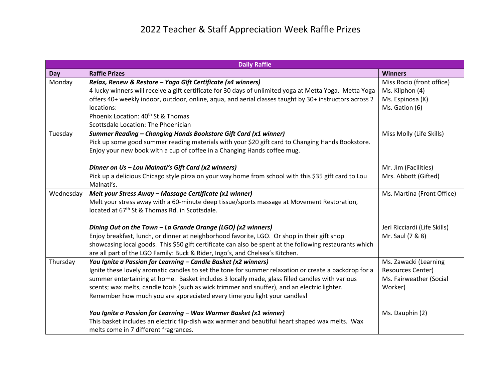## 2022 Teacher & Staff Appreciation Week Raffle Prizes

| <b>Daily Raffle</b> |                                                                                                                                                                                                                                                                                                                                                                                                                                                       |                                                                                  |  |
|---------------------|-------------------------------------------------------------------------------------------------------------------------------------------------------------------------------------------------------------------------------------------------------------------------------------------------------------------------------------------------------------------------------------------------------------------------------------------------------|----------------------------------------------------------------------------------|--|
| Day                 | <b>Raffle Prizes</b>                                                                                                                                                                                                                                                                                                                                                                                                                                  | <b>Winners</b>                                                                   |  |
| Monday              | Relax, Renew & Restore - Yoga Gift Certificate (x4 winners)<br>4 lucky winners will receive a gift certificate for 30 days of unlimited yoga at Metta Yoga. Metta Yoga                                                                                                                                                                                                                                                                                | Miss Rocio (front office)<br>Ms. Kliphon (4)                                     |  |
|                     | offers 40+ weekly indoor, outdoor, online, aqua, and aerial classes taught by 30+ instructors across 2<br>locations:                                                                                                                                                                                                                                                                                                                                  | Ms. Espinosa (K)<br>Ms. Gation (6)                                               |  |
|                     | Phoenix Location: 40 <sup>th</sup> St & Thomas<br>Scottsdale Location: The Phoenician                                                                                                                                                                                                                                                                                                                                                                 |                                                                                  |  |
| Tuesday             | Summer Reading - Changing Hands Bookstore Gift Card (x1 winner)<br>Pick up some good summer reading materials with your \$20 gift card to Changing Hands Bookstore.<br>Enjoy your new book with a cup of coffee in a Changing Hands coffee mug.                                                                                                                                                                                                       | Miss Molly (Life Skills)                                                         |  |
|                     | Dinner on Us - Lou Malnati's Gift Card (x2 winners)                                                                                                                                                                                                                                                                                                                                                                                                   | Mr. Jim (Facilities)                                                             |  |
|                     | Pick up a delicious Chicago style pizza on your way home from school with this \$35 gift card to Lou<br>Malnati's.                                                                                                                                                                                                                                                                                                                                    | Mrs. Abbott (Gifted)                                                             |  |
| Wednesday           | Melt your Stress Away - Massage Certificate (x1 winner)<br>Melt your stress away with a 60-minute deep tissue/sports massage at Movement Restoration,<br>located at 67 <sup>th</sup> St & Thomas Rd. in Scottsdale.                                                                                                                                                                                                                                   | Ms. Martina (Front Office)                                                       |  |
|                     | Dining Out on the Town - La Grande Orange (LGO) (x2 winners)<br>Enjoy breakfast, lunch, or dinner at neighborhood favorite, LGO. Or shop in their gift shop<br>showcasing local goods. This \$50 gift certificate can also be spent at the following restaurants which<br>are all part of the LGO Family: Buck & Rider, Ingo's, and Chelsea's Kitchen.                                                                                                | Jeri Ricciardi (Life Skills)<br>Mr. Saul (7 & 8)                                 |  |
| Thursday            | You Ignite a Passion for Learning - Candle Basket (x2 winners)<br>Ignite these lovely aromatic candles to set the tone for summer relaxation or create a backdrop for a<br>summer entertaining at home. Basket includes 3 locally made, glass filled candles with various<br>scents; wax melts, candle tools (such as wick trimmer and snuffer), and an electric lighter.<br>Remember how much you are appreciated every time you light your candles! | Ms. Zawacki (Learning<br>Resources Center)<br>Ms. Fairweather (Social<br>Worker) |  |
|                     | You Ignite a Passion for Learning - Wax Warmer Basket (x1 winner)<br>This basket includes an electric flip-dish wax warmer and beautiful heart shaped wax melts. Wax<br>melts come in 7 different fragrances.                                                                                                                                                                                                                                         | Ms. Dauphin (2)                                                                  |  |